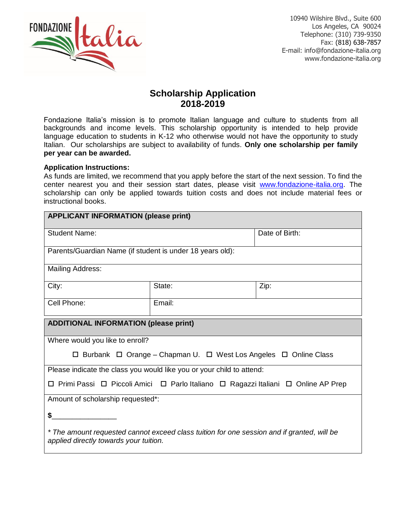

10940 Wilshire Blvd., Suite 600 Los Angeles, CA 90024 Telephone: (310) 739-9350 Fax: (818) 638-7857 E-mail: info@fondazione-italia.org www.fondazione-italia.org

## **Scholarship Application 2018-2019**

Fondazione Italia's mission is to promote Italian language and culture to students from all backgrounds and income levels. This scholarship opportunity is intended to help provide language education to students in K-12 who otherwise would not have the opportunity to study Italian. Our scholarships are subject to availability of funds. **Only one scholarship per family per year can be awarded.**

## **Application Instructions:**

As funds are limited, we recommend that you apply before the start of the next session. To find the center nearest you and their session start dates, please visit [www.fondazione-italia.org.](http://www.fondazione-italia.org/) The scholarship can only be applied towards tuition costs and does not include material fees or instructional books.

| <b>APPLICANT INFORMATION (please print)</b>                                                                                          |        |                |
|--------------------------------------------------------------------------------------------------------------------------------------|--------|----------------|
| <b>Student Name:</b>                                                                                                                 |        | Date of Birth: |
| Parents/Guardian Name (if student is under 18 years old):                                                                            |        |                |
| <b>Mailing Address:</b>                                                                                                              |        |                |
| City:                                                                                                                                | State: | Zip:           |
| Cell Phone:                                                                                                                          | Email: |                |
| <b>ADDITIONAL INFORMATION (please print)</b>                                                                                         |        |                |
| Where would you like to enroll?                                                                                                      |        |                |
| □ Burbank □ Orange – Chapman U. □ West Los Angeles □ Online Class                                                                    |        |                |
| Please indicate the class you would like you or your child to attend:                                                                |        |                |
| □ Primi Passi □ Piccoli Amici □ Parlo Italiano □ Ragazzi Italiani □ Online AP Prep                                                   |        |                |
| Amount of scholarship requested*:                                                                                                    |        |                |
| \$                                                                                                                                   |        |                |
| * The amount requested cannot exceed class tuition for one session and if granted, will be<br>applied directly towards your tuition. |        |                |